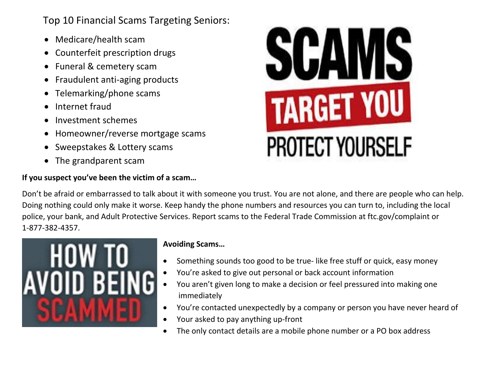Top 10 Financial Scams Targeting Seniors:

- Medicare/health scam
- Counterfeit prescription drugs
- Funeral & cemetery scam
- Fraudulent anti-aging products
- Telemarking/phone scams
- Internet fraud
- Investment schemes
- Homeowner/reverse mortgage scams
- Sweepstakes & Lottery scams
- The grandparent scam

## **If you suspect you've been the victim of a scam…**



Don't be afraid or embarrassed to talk about it with someone you trust. You are not alone, and there are people who can help. Doing nothing could only make it worse. Keep handy the phone numbers and resources you can turn to, including the local police, your bank, and Adult Protective Services. Report scams to the Federal Trade Commission at ftc.gov/complaint or 1-877-382-4357.



## **Avoiding Scams…**

- Something sounds too good to be true- like free stuff or quick, easy money
- You're asked to give out personal or back account information
- You aren't given long to make a decision or feel pressured into making one immediately
- You're contacted unexpectedly by a company or person you have never heard of
- Your asked to pay anything up-front
- The only contact details are a mobile phone number or a PO box address